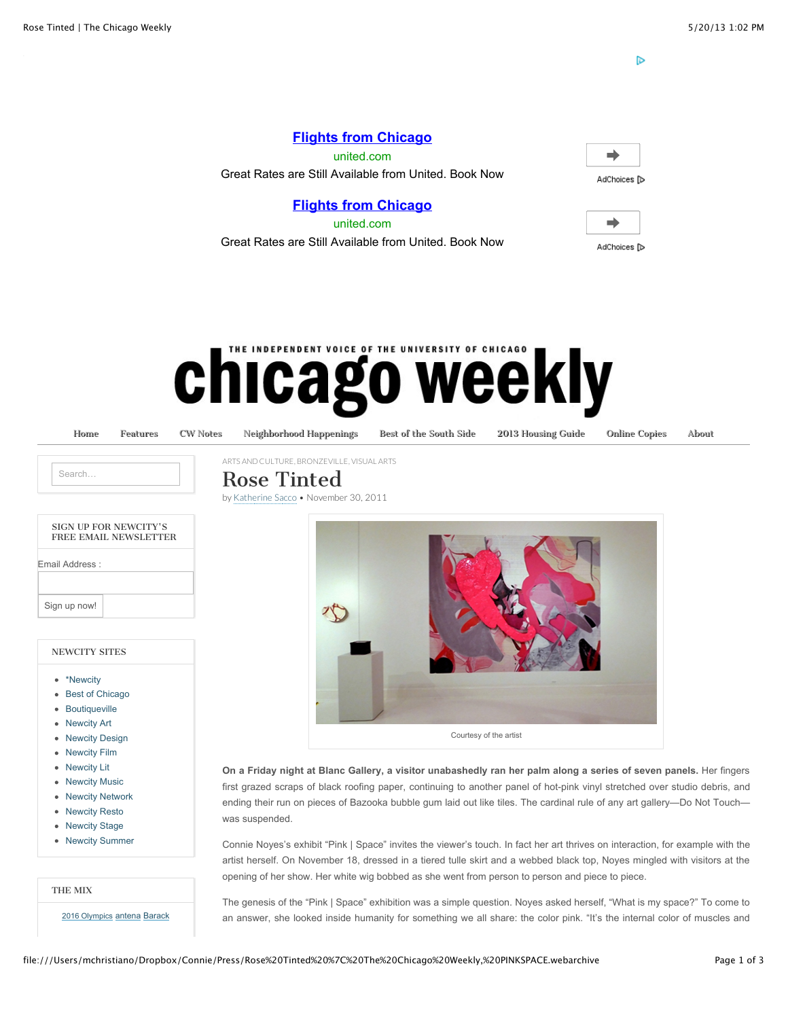D

# **[Flights from Chicago](http://www.googleadservices.com/pagead/aclk?sa=L&ai=CkOuLVH6WUYjBMYbJwQGNoIHgC8bxy8MD_vy17Fry5PuZ4AEQASCQx4ICUP_Iv_sCYMmG_4fwo-wSoAH09orxA8gBAeACAKgDAcgDnwSqBKcBT9ALwTRr9O3D9PKFJLSNxN3jBfLxDzoDL5Eajbtikecm0uYln9ZDJyzbymRsgXaN94yl_2ohcVjJu4cl5t63fz8ny67gda1BLcPUAYwwpD4SNJ3oSjeG81PLsdfPhWAXMh1BbTWHziW9h3BcjWk8dCs_EkXZC-jKzPek8tyMokCsJMrr_9rMi_Ecz0Gso4Hr1Vd2B2KLhPdQ4l3j3iAmQ09vVLGveTjgBAGIBgGAB_SI9Q4&num=1&cid=5GjA5a48MeybFmppmfiRALPv&sig=AOD64_1tfxd3PdBnuwbQGVgqJKPHHo5esQ&client=ca-pub-4008688672025528&adurl=http://clickserve.dartsearch.net/link/click%3Flid%3D43700003780904469%26ds_s_kwgid%3D58700000045162211%26ds_e_adid%3D24338310406%26ds_e_matchtype%3Dcontent%26ds_url_v%3D2)**

united.com Great Rates are Still Available from United. Book Now

# **[Flights from Chicago](http://www.googleadservices.com/pagead/aclk?sa=L&ai=CkOuLVH6WUYjBMYbJwQGNoIHgC8bxy8MD_vy17Fry5PuZ4AEQASCQx4ICUP_Iv_sCYMmG_4fwo-wSoAH09orxA8gBAeACAKgDAcgDnwSqBKcBT9ALwTRr9O3D9PKFJLSNxN3jBfLxDzoDL5Eajbtikecm0uYln9ZDJyzbymRsgXaN94yl_2ohcVjJu4cl5t63fz8ny67gda1BLcPUAYwwpD4SNJ3oSjeG81PLsdfPhWAXMh1BbTWHziW9h3BcjWk8dCs_EkXZC-jKzPek8tyMokCsJMrr_9rMi_Ecz0Gso4Hr1Vd2B2KLhPdQ4l3j3iAmQ09vVLGveTjgBAGIBgGAB_SI9Q4&num=1&cid=5GjA5a48MeybFmppmfiRALPv&sig=AOD64_1tfxd3PdBnuwbQGVgqJKPHHo5esQ&client=ca-pub-4008688672025528&adurl=http://clickserve.dartsearch.net/link/click%3Flid%3D43700003780904469%26ds_s_kwgid%3D58700000045162211%26ds_e_adid%3D24338310406%26ds_e_matchtype%3Dcontent%26ds_url_v%3D2)**

united.com Great Rates are Still Available from United. Book Now

| . .<br>r.<br>ישו |  |
|------------------|--|



# **IE INDEPENDENT VOICE OF THE UNIVERSITY OF CHICAGO** chicago weekly

[Home](http://chicagoweekly.net/) [Features](http://chicagoweekly.net/category/features/) [CW Notes](http://chicagoweekly.net/cwnotes/) [Neighborhood Happenings](http://chicagoweekly.net/neighborhood-happenings/) [Best of the South Side](http://chicagoweekly.net/best-of-the-south-side/) [2013 Housing Guide](http://chicagoweekly.net/2012-housing-guide/) [Online Copies](http://chicagoweekly.net/online-copies/) [About](http://chicagoweekly.net/about/)

| $\sim$ $\sim$ $\sim$ |  |
|----------------------|--|
|                      |  |

# Rose Tinted

by [Katherine Sacco](http://chicagoweekly.net/author/katherine-sacco/) • November 30, 2011

[ARTS AND CULTURE,](http://chicagoweekly.net/category/arts-and-culture/) [BRONZEVILLE,](http://chicagoweekly.net/category/neighborhood/bronzeville-neighborhood/) [VISUAL ARTS](http://chicagoweekly.net/category/arts-and-culture/visual-arts/)

#### NEWCITY SITES

- [\\*Newcity](http://newcity.com/)
- [Best of Chicago](http://best.newcity.com/)
- [Boutiqueville](http://boutiqueville.com/)
- [Newcity Art](http://art.newcity.com/)
- [Newcity Design](http://design.newcity.com/)
- [Newcity Film](http://newcityfilm.com/)
- [Newcity Lit](http://lit.newcity.com/)
- [Newcity Music](http://music.newcity.com/)
- [Newcity Network](http://newcitynetwork.com/)
- [Newcity Resto](http://newcityresto.com/)
- [Newcity Stage](http://newcitystage.com/)
- [Newcity Summer](http://summer.newcity.com/)

THE MIX

[2016 Olympics](http://chicagoweekly.net/tag/barack-obama/) [antena](http://chicagoweekly.net/tag/antena/) Barack



**On a Friday night at Blanc Gallery, a visitor unabashedly ran her palm along a series of seven panels.** Her fingers first grazed scraps of black roofing paper, continuing to another panel of hot-pink vinyl stretched over studio debris, and ending their run on pieces of Bazooka bubble gum laid out like tiles. The cardinal rule of any art gallery—Do Not Touch was suspended.

Connie Noyes's exhibit "Pink | Space" invites the viewer's touch. In fact her art thrives on interaction, for example with the artist herself. On November 18, dressed in a tiered tulle skirt and a webbed black top, Noyes mingled with visitors at the opening of her show. Her white wig bobbed as she went from person to person and piece to piece.

The genesis of the "Pink | Space" exhibition was a simple question. Noyes asked herself, "What is my space?" To come to an answer, she looked inside humanity for something we all share: the color pink. "It's the internal color of muscles and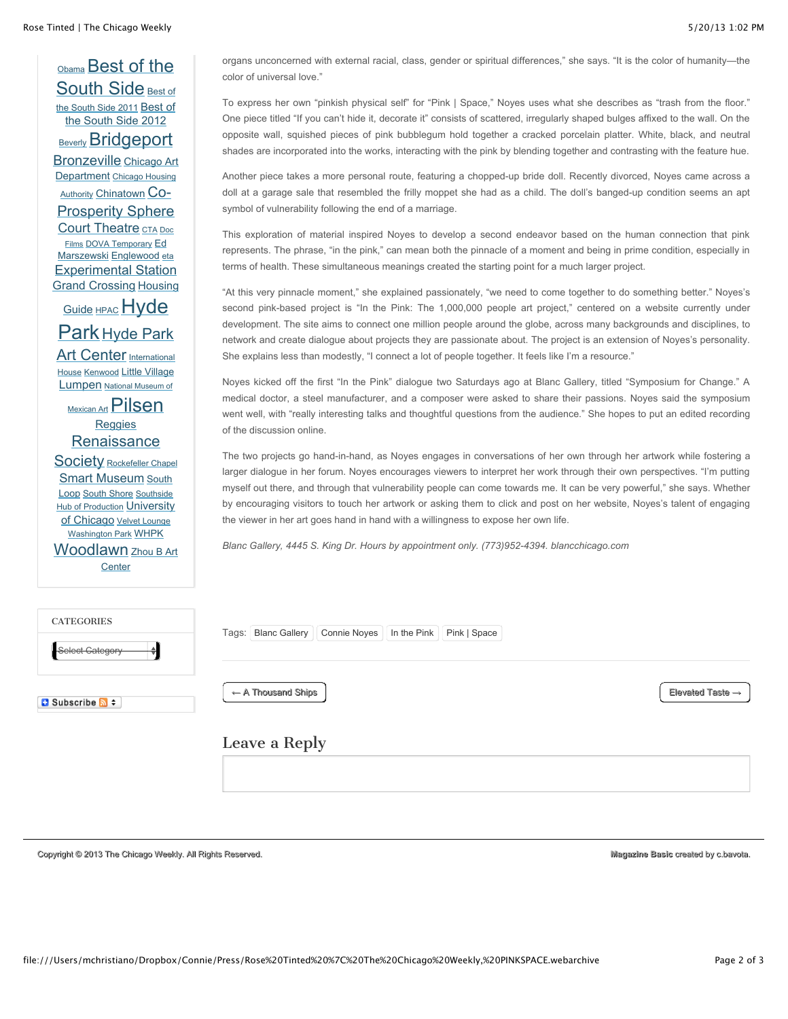[O](http://chicagoweekly.net/tag/best-of-the-south-side/)[bama](http://chicagoweekly.net/tag/barack-obama/) [Best of the](http://chicagoweekly.net/tag/best-of-the-south-side/) [South Side](http://chicagoweekly.net/tag/best-of-the-south-side-2011/) Best of the South Side 2011 Best of [the South Side 2012](http://chicagoweekly.net/tag/best-of-the-south-side-2012/) [Beverly](http://chicagoweekly.net/tag/beverly/) **[Bridgeport](http://chicagoweekly.net/tag/bridgeport/)** [Bronzeville](http://chicagoweekly.net/tag/bronzeville/) Chicago Art **Department [Chicago Housing](http://chicagoweekly.net/tag/chicago-housing-authority/)** Authority [Chinatown](http://chicagoweekly.net/tag/chinatown/) Co-**[Prosperity Sphere](http://chicagoweekly.net/tag/co-prosperity-sphere/)** [Court Theatre](http://chicagoweekly.net/tag/court-theatre/) [CTA](http://chicagoweekly.net/tag/cta/) Doc Films [DOVA Temporary](http://chicagoweekly.net/tag/ed-marszewski/) Ed Marszewski [Englewood](http://chicagoweekly.net/tag/englewood/) [eta](http://chicagoweekly.net/tag/eta/) [Experimental Station](http://chicagoweekly.net/tag/experimental-station/) [Grand Crossing](http://chicagoweekly.net/tag/grand-crossing/) Housing Guide [HPAC](http://chicagoweekly.net/tag/hpac/) Hyde Park [Hyde Park](http://chicagoweekly.net/tag/hyde-park/) Art Center Internationa[l](http://chicagoweekly.net/tag/international-house/) House [Kenwood](http://chicagoweekly.net/tag/kenwood/) [Little Village](http://chicagoweekly.net/tag/little-village/) [Lumpen](http://chicagoweekly.net/tag/lumpen/) National Museum of [Mexican Art](http://chicagoweekly.net/tag/national-museum-of-mexican-art/) [Pilsen](http://chicagoweekly.net/tag/pilsen/) [Reggies](http://chicagoweekly.net/tag/reggies/) **[Renaissance](http://chicagoweekly.net/tag/renaissance-society/)** Society [Rockefeller Chapel](http://chicagoweekly.net/tag/rockefeller-chapel/) [Smart Museum](http://chicagoweekly.net/tag/smart-museum/) South Loop [South Shore](http://chicagoweekly.net/tag/south-shore/) Southside [Hub of Production](http://chicagoweekly.net/tag/southside-hub-of-production/) University [of Chicago](http://chicagoweekly.net/tag/university-of-chicago/) [Velvet Lounge](http://chicagoweekly.net/tag/velvet-lounge/) [Washington Park](http://chicagoweekly.net/tag/washington-park/) [WHPK](http://chicagoweekly.net/tag/whpk/) [Woodlawn](http://chicagoweekly.net/tag/woodlawn/) [Zhou B Art](http://chicagoweekly.net/tag/zhou-b-art-center/) **Center CATECORIES** 

organs unconcerned with external racial, class, gender or spiritual differences," she says. "It is the color of humanity—the color of universal love."

To express her own "pinkish physical self" for "Pink | Space," Noyes uses what she describes as "trash from the floor." One piece titled "If you can't hide it, decorate it" consists of scattered, irregularly shaped bulges affixed to the wall. On the opposite wall, squished pieces of pink bubblegum hold together a cracked porcelain platter. White, black, and neutral shades are incorporated into the works, interacting with the pink by blending together and contrasting with the feature hue.

Another piece takes a more personal route, featuring a chopped-up bride doll. Recently divorced, Noyes came across a doll at a garage sale that resembled the frilly moppet she had as a child. The doll's banged-up condition seems an apt symbol of vulnerability following the end of a marriage.

This exploration of material inspired Noyes to develop a second endeavor based on the human connection that pink represents. The phrase, "in the pink," can mean both the pinnacle of a moment and being in prime condition, especially in terms of health. These simultaneous meanings created the starting point for a much larger project.

"At this very pinnacle moment," she explained passionately, "we need to come together to do something better." Noyes's second pink-based project is "In the Pink: The 1,000,000 people art project," centered on a website currently under development. The site aims to connect one million people around the globe, across many backgrounds and disciplines, to network and create dialogue about projects they are passionate about. The project is an extension of Noyes's personality. She explains less than modestly, "I connect a lot of people together. It feels like I'm a resource."

Noyes kicked off the first "In the Pink" dialogue two Saturdays ago at Blanc Gallery, titled "Symposium for Change." A medical doctor, a steel manufacturer, and a composer were asked to share their passions. Noyes said the symposium went well, with "really interesting talks and thoughtful questions from the audience." She hopes to put an edited recording of the discussion online.

The two projects go hand-in-hand, as Noyes engages in conversations of her own through her artwork while fostering a larger dialogue in her forum. Noyes encourages viewers to interpret her work through their own perspectives. "I'm putting myself out there, and through that vulnerability people can come towards me. It can be very powerful," she says. Whether by encouraging visitors to touch her artwork or asking them to click and post on her website, Noyes's talent of engaging the viewer in her art goes hand in hand with a willingness to expose her own life.

*Blanc Gallery, 4445 S. King Dr. Hours by appointment only. (773)952-4394. blancchicago.com*

| <b>CALLGURIES</b><br>$\overline{\phantom{a}}$<br>Select Category | Tags:   Blanc Gallery   Connie Noyes   In the Pink   Pink   Space |                              |
|------------------------------------------------------------------|-------------------------------------------------------------------|------------------------------|
| $\Box$ Subscribe $\Box$ $\div$                                   | $\leftarrow$ A Thousand Ships                                     | Elevated Taste $\rightarrow$ |

### Leave a Reply

Copyright© 2013 [The Chicago Weekly](http://chicagoweekly.net/). All Rights Reserved. **Magazine Basic Copyright Chicago Weekly. All Rights Reserved.** All All Rights Reserved.